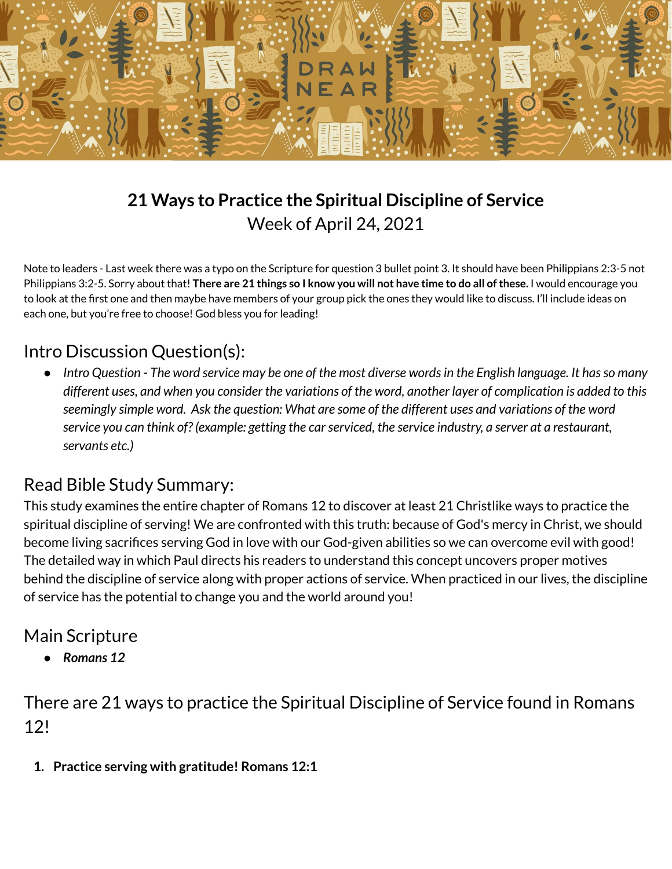

# **21 Ways to Practice the Spiritual Discipline of Service** Week of April 24, 2021

Note to leaders - Last week there was a typo on the Scripture for question 3 bullet point 3. It should have been Philippians 2:3-5 not Philippians 3:2-5. Sorry about that! There are 21 things so I know you will not have time to do all of these. I would encourage you to look at the first one and then maybe have members of your group pick the ones they would like to discuss. I'll include ideas on each one, but you're free to choose! God bless you for leading!

## Intro Discussion Question(s):

• Intro Question - The word service may be one of the most diverse words in the English language. It has so many different uses, and when you consider the variations of the word, another layer of complication is added to this seemingly simple word. Ask the question: What are some of the different uses and variations of the word service you can think of? (example: getting the car serviced, the service industry, a server at a restaurant, *servants etc.)*

## Read Bible Study Summary:

This study examines the entire chapter of Romans 12 to discover at least 21 Christlike ways to practice the spiritual discipline of serving! We are confronted with this truth: because of God's mercy in Christ, we should become living sacrifices serving God in love with our God-given abilities so we can overcome evil with good! The detailed way in which Paul directs his readers to understand this concept uncovers proper motives behind the discipline of service along with proper actions of service. When practiced in our lives, the discipline of service has the potential to change you and the world around you!

## Main Scripture

*● Romans 12*

There are 21 ways to practice the Spiritual Discipline of Service found in Romans 12!

**1. Practice serving with gratitude! Romans 12:1**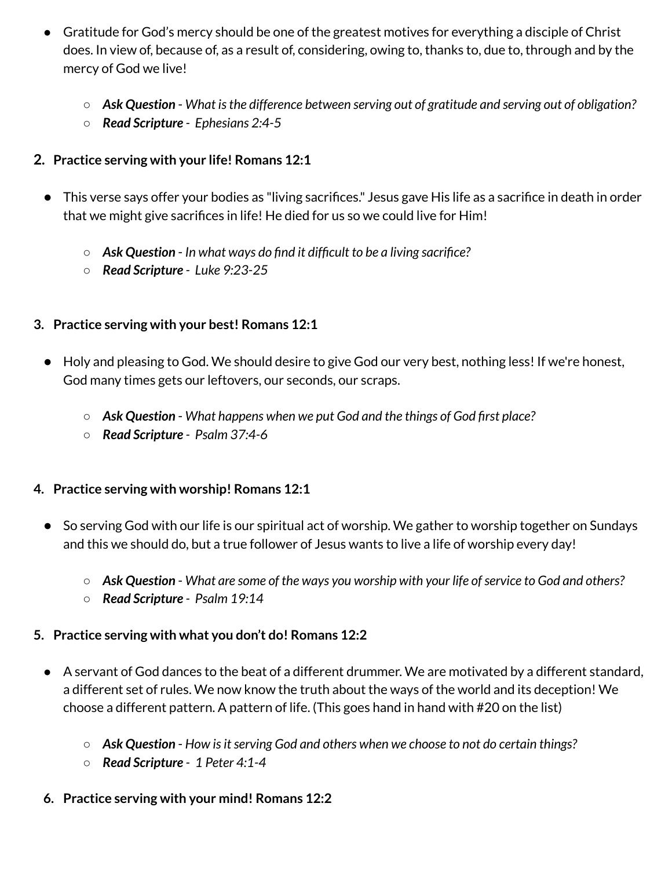- Gratitude for God's mercy should be one of the greatest motives for everything a disciple of Christ does. In view of, because of, as a result of, considering, owing to, thanks to, due to, through and by the mercy of God we live!
	- *Ask Question What isthe difference between serving out of gratitude and serving out of obligation?*
	- *Read Scripture - Ephesians 2:4-5*

#### **2. Practice serving with your life! Romans 12:1**

- This verse says offer your bodies as "living sacrifices." Jesus gave His life as a sacrifice in death in order that we might give sacrifices in life! He died for us so we could live for Him!
	- *Ask Question In what ways do find it difficult to be a living sacrifice?*
	- *Read Scripture - Luke 9:23-25*

#### **3. Practice serving with your best! Romans 12:1**

- Holy and pleasing to God. We should desire to give God our very best, nothing less! If we're honest, God many times gets our leftovers, our seconds, our scraps.
	- *Ask Question What happens when we put God and the things of God first place?*
	- *Read Scripture - Psalm 37:4-6*

#### **4. Practice serving with worship! Romans 12:1**

- So serving God with our life is our spiritual act of worship. We gather to worship together on Sundays and this we should do, but a true follower of Jesus wants to live a life of worship every day!
	- *Ask Question What are some of the ways you worship with your life ofservice to God and others?*
	- *Read Scripture - Psalm 19:14*

#### **5. Practice serving with what you don't do! Romans 12:2**

- A servant of God dances to the beat of a different drummer. We are motivated by a different standard, a different set of rules. We now know the truth about the ways of the world and its deception! We choose a different pattern. A pattern of life. (This goes hand in hand with #20 on the list)
	- $\circ$  **Ask Question** How is it serving God and others when we choose to not do certain things?
	- *Read Scripture - 1 Peter 4:1-4*

#### **6. Practice serving with your mind! Romans 12:2**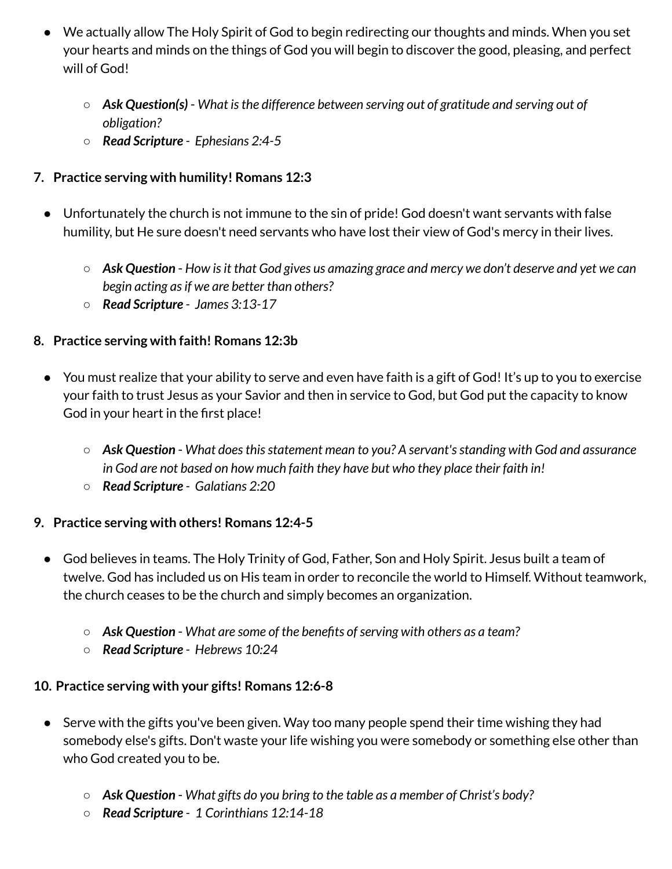- We actually allow The Holy Spirit of God to begin redirecting our thoughts and minds. When you set your hearts and minds on the things of God you will begin to discover the good, pleasing, and perfect will of God!
	- *Ask Question(s) What isthe difference between serving out of gratitude and serving out of obligation?*
	- *Read Scripture - Ephesians 2:4-5*

## **7. Practice serving with humility! Romans 12:3**

- Unfortunately the church is not immune to the sin of pride! God doesn't want servants with false humility, but He sure doesn't need servants who have lost their view of God's mercy in their lives.
	- $\circ$  Ask Question How is it that God gives us amazing grace and mercy we don't deserve and yet we can *begin acting asif we are better than others?*
	- *Read Scripture - James 3:13-17*

### **8. Practice serving with faith! Romans 12:3b**

- You must realize that your ability to serve and even have faith is a gift of God! It's up to you to exercise your faith to trust Jesus as your Savior and then in service to God, but God put the capacity to know God in your heart in the first place!
	- *Ask Question What doesthisstatement mean to you? A servant'sstanding with God and assurance in God are not based on how much faith they have but who they place their faith in!*
	- *Read Scripture - Galatians 2:20*

### **9. Practice serving with others! Romans 12:4-5**

- God believes in teams. The Holy Trinity of God, Father, Son and Holy Spirit. Jesus built a team of twelve. God has included us on His team in order to reconcile the world to Himself. Without teamwork, the church ceases to be the church and simply becomes an organization.
	- *Ask Question What are some of the benefits ofserving with others as a team?*
	- *Read Scripture - Hebrews 10:24*

### **10. Practice serving with your gifts! Romans 12:6-8**

- Serve with the gifts you've been given. Way too many people spend their time wishing they had somebody else's gifts. Don't waste your life wishing you were somebody or something else other than who God created you to be.
	- *Ask Question What gifts do you bring to the table as a member of Christ's body?*
	- *Read Scripture - 1 Corinthians 12:14-18*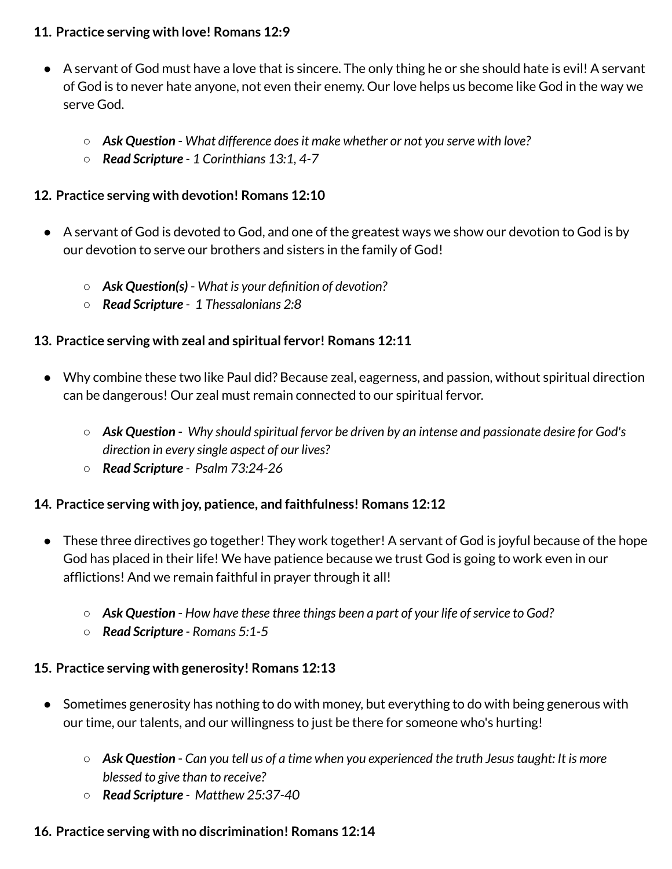#### **11. Practice serving with love! Romans 12:9**

- A servant of God must have a love that is sincere. The only thing he or she should hate is evil! A servant of God is to never hate anyone, not even their enemy. Our love helps us become like God in the way we serve God.
	- *Ask Question What difference doesit make whether or not you serve with love?*
	- *Read Scripture - 1 Corinthians 13:1, 4-7*

## **12. Practice serving with devotion! Romans 12:10**

- A servant of God is devoted to God, and one of the greatest ways we show our devotion to God is by our devotion to serve our brothers and sisters in the family of God!
	- *Ask Question(s) What is your definition of devotion?*
	- *Read Scripture - 1 Thessalonians 2:8*

## **13. Practice serving with zeal and spiritual fervor! Romans 12:11**

- Why combine these two like Paul did? Because zeal, eagerness, and passion, without spiritual direction can be dangerous! Our zeal must remain connected to our spiritual fervor.
	- *Ask Question Why should spiritual fervor be driven by an intense and passionate desire for God's direction in every single aspect of our lives?*
	- *Read Scripture - Psalm 73:24-26*

### **14. Practice serving with joy, patience, and faithfulness! Romans 12:12**

- These three directives go together! They work together! A servant of God is joyful because of the hope God has placed in their life! We have patience because we trust God is going to work even in our afflictions! And we remain faithful in prayer through it all!
	- *Ask Question How have these three things been a part of your life ofservice to God?*
	- *Read Scripture - Romans 5:1-5*

## **15. Practice serving with generosity! Romans 12:13**

- Sometimes generosity has nothing to do with money, but everything to do with being generous with our time, our talents, and our willingness to just be there for someone who's hurting!
	- *Ask Question Can you tell us of a time when you experienced the truth Jesustaught: It is more blessed to give than to receive?*
	- *Read Scripture - Matthew 25:37-40*

## **16. Practice serving with no discrimination! Romans 12:14**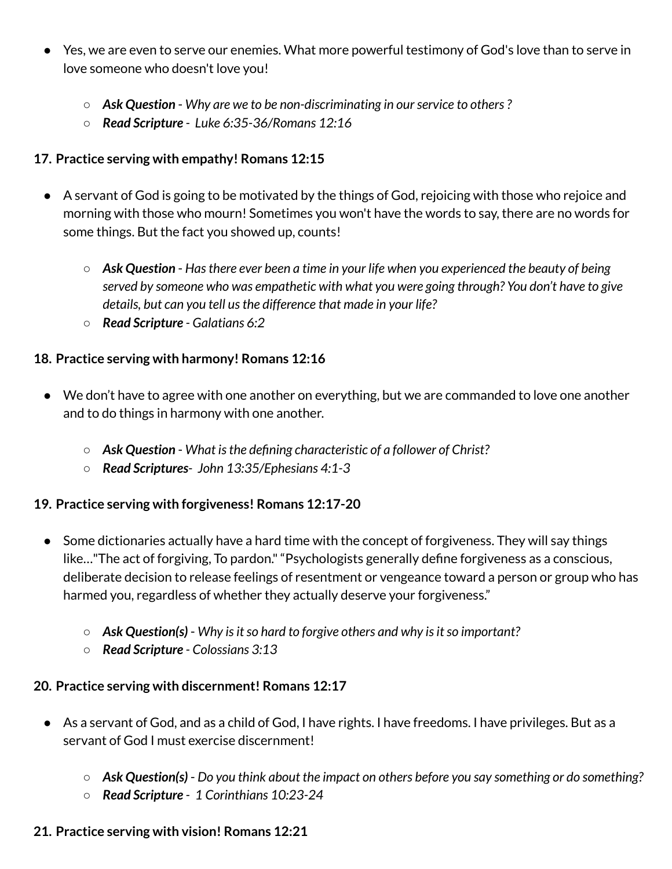- Yes, we are even to serve our enemies. What more powerful testimony of God's love than to serve in love someone who doesn't love you!
	- *Ask Question Why are we to be non-discriminating in ourservice to others?*
	- *Read Scripture - Luke 6:35-36/Romans 12:16*

#### **17. Practice serving with empathy! Romans 12:15**

- A servant of God is going to be motivated by the things of God, rejoicing with those who rejoice and morning with those who mourn! Sometimes you won't have the words to say, there are no words for some things. But the fact you showed up, counts!
	- *Ask Question Hasthere ever been a time in your life when you experienced the beauty of being served by someone who was empathetic with what you were going through? You don't have to give details, but can you tell usthe difference that made in your life?*
	- *Read Scripture - Galatians 6:2*

#### **18. Practice serving with harmony! Romans 12:16**

- We don't have to agree with one another on everything, but we are commanded to love one another and to do things in harmony with one another.
	- *Ask Question What isthe defining characteristic of a follower of Christ?*
	- *Read Scriptures- John 13:35/Ephesians 4:1-3*

#### **19. Practice serving with forgiveness! Romans 12:17-20**

- Some dictionaries actually have a hard time with the concept of forgiveness. They will say things like…"The act of forgiving, To pardon.""Psychologists generally define forgiveness as a conscious, deliberate decision to release feelings of resentment or vengeance toward a person or group who has harmed you, regardless of whether they actually deserve your forgiveness."
	- *Ask Question(s)* Why is it so hard to forgive others and why is it so important?
	- *Read Scripture - Colossians 3:13*

#### **20. Practice serving with discernment! Romans 12:17**

- As a servant of God, and as a child of God, I have rights. I have freedoms. I have privileges. But as a servant of God I must exercise discernment!
	- *Ask Question(s) Do you think about the impact on others before you say something or do something?*
	- *Read Scripture - 1 Corinthians 10:23-24*

#### **21. Practice serving with vision! Romans 12:21**